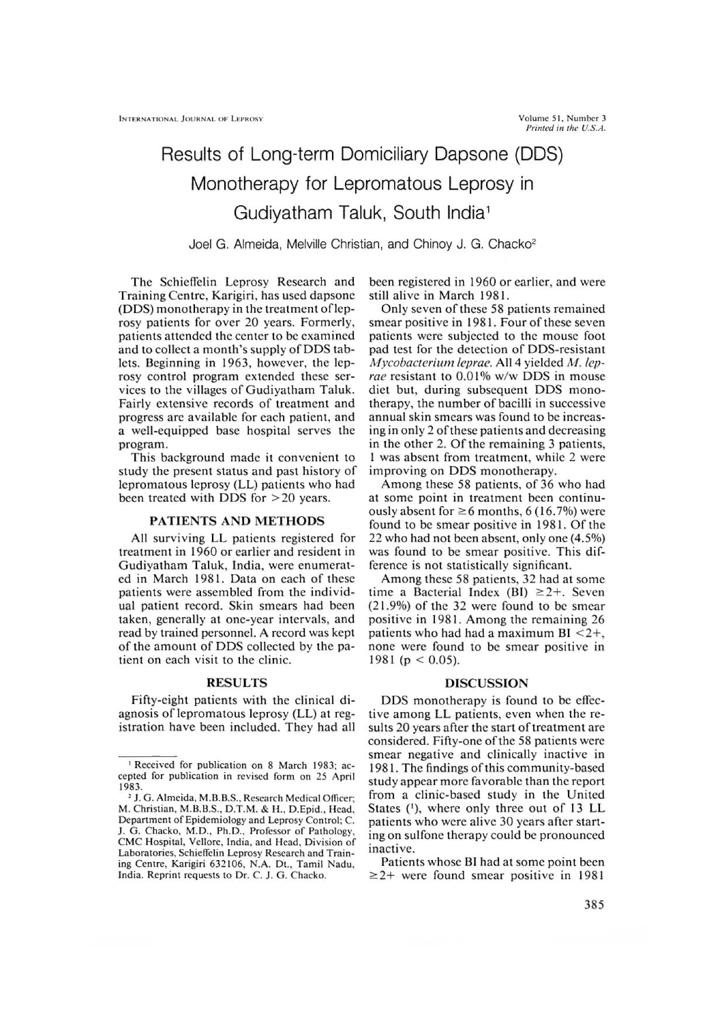# Results of Long-term Domiciliary Dapsone (DDS) Monotherapy for Lepromatous Leprosy in Gudiyatham Taluk, South India'

Joel G. Almeida, Melville Christian, and Chinoy J. G. Chacko<sup>2</sup>

The Schieffelin Leprosy Research and Training Centre, Karigiri, has used dapsone (DDS) monotherapy in the treatment of leprosy patients for over 20 years. Formerly, patients attended the center to be examined and to collect a month's supply of DDS tablets. Beginning in 1963, however, the leprosy control program extended these services to the villages of Gudiyatham Taluk. Fairly extensive records of treatment and progress are available for each patient, and a well-equipped base hospital serves the program.

This background made it convenient to study the present status and past history of lepromatous leprosy (LL) patients who had been treated with DDS for >20 years.

## PATIENTS AND METHODS

All surviving LL patients registered for treatment in 1960 or earlier and resident in Gudiyatham Taluk, India, were enumerated in March 1981. Data on each of these patients were assembled from the individual patient record. Skin smears had been taken, generally at one-year intervals, and read by trained personnel. A record was kept of the amount of DDS collected by the patient on each visit to the clinic.

## RESULTS

Fifty-eight patients with the clinical diagnosis of lepromatous leprosy (LL) at registration have been included. They had all been registered in 1960 or earlier, and were still alive in March 1981.

Only seven of these 58 patients remained smear positive in 1981. Four of these seven patients were subjected to the mouse foot pad test for the detection of DDS-resistant *Mycobacterium leprae.* All 4 yielded *M. leprae* resistant to 0.01% w/w DDS in mouse diet but, during subsequent DDS monotherapy, the number of bacilli in successive annual skin smears was found to be increasing in only 2 ofthese patients and decreasing in the other 2. Of the remaining 3 patients, 1 was absent from treatment, while 2 were improving on DDS monotherapy.

Among these 58 patients, of 36 who had at some point in treatment been continuously absent for  $\geq 6$  months, 6 (16.7%) were found to be smear positive in 1981. Of the 22 who had not been absent, only one (4.5%) was found to be smear positive. This difference is not statistically significant.

Among these 58 patients, 32 had at some time a Bacterial Index (BI)  $\geq 2+$ . Seven (21.9%) of the 32 were found to be smear positive in 1981. Among the remaining 26 patients who had had a maximum  $BI < 2+,$ none were found to be smear positive in 1981 ( $p < 0.05$ ).

## DISCUSSION

DDS monotherapy is found to be effective among LL patients, even when the results 20 years after the start of treatment are considered. Fifty-one of the 58 patients were smear negative and clinically inactive in 1981. The findings of this community-based study appear more favorable than the report from a clinic-based study in the United States ('), where only three out of 13 LL patients who were alive 30 years after starting on sulfone therapy could be pronounced inactive.

Patients whose BI had at some point been  $\geq$ 2+ were found smear positive in 1981

<sup>&#</sup>x27; Received for publication on 8 March 1983; accepted for publication in revised form on 25 April 1983.

<sup>2</sup> J. G. Almeida, M.B.B.S., Research Medical Officer; M. Christian, M.13.B.S., D.T.M. & H., D.Epid., Head, Department of Epidemiology and Leprosy Control; C. J. G. Chacko, M.D., Ph.D., Professor of Pathology, CMC Hospital, Vellore, India, and Head, Division of Laboratories, Schieffelin Leprosy Research and Training Centre, Karigiri 632106, N.A. Dt., Tamil Nadu, India. Reprint requests to Dr. C. J. G. Chacko.